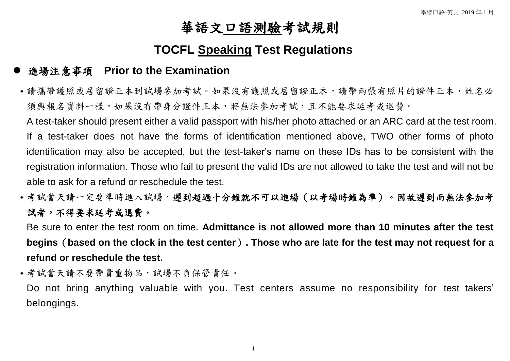## 華語文口語測驗考試規則

## **TOCFL Speaking Test Regulations**

## 進場注意事項 **Prior to the Examination**

 請攜帶護照或居留證正本到試場參加考試。如果沒有護照或居留證正本,請帶兩張有照片的證件正本,姓名必 須與報名資料一樣。如果沒有帶身分證件正本,將無法參加考試,且不能要求延考或退費。

A test-taker should present either a valid passport with his/her photo attached or an ARC card at the test room. If a test-taker does not have the forms of identification mentioned above, TWO other forms of photo identification may also be accepted, but the test-taker's name on these IDs has to be consistent with the registration information. Those who fail to present the valid IDs are not allowed to take the test and will not be able to ask for a refund or reschedule the test.

•考試當天請一定要準時進入試場,遲到超過十分鐘就不可以進場(以考場時鐘為準)。因故遲到而無法參加考 試者,不得要求延考或退費。

Be sure to enter the test room on time. **Admittance is not allowed more than 10 minutes after the test begins**(**based on the clock in the test center**)**. Those who are late for the test may not request for a refund or reschedule the test.**

● 考試當天請不要帶貴重物品,試場不負保管責任。

Do not bring anything valuable with you. Test centers assume no responsibility for test takers' belongings.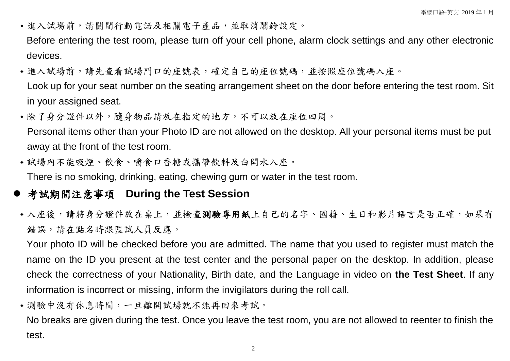- 進入試場前,請關閉行動電話及相關電子產品,並取消鬧鈴設定。 Before entering the test room, please turn off your cell phone, alarm clock settings and any other electronic devices.
- •進入試場前,請先查看試場門口的座號表,確定自己的座位號碼,並按照座位號碼入座。 Look up for your seat number on the seating arrangement sheet on the door before entering the test room. Sit in your assigned seat.
- 除了身分證件以外,隨身物品請放在指定的地方,不可以放在座位四周。 Personal items other than your Photo ID are not allowed on the desktop. All your personal items must be put away at the front of the test room.
- 試場內不能吸煙、飲食、嚼食口香糖或攜帶飲料及白開水入座。

There is no smoking, drinking, eating, chewing gum or water in the test room.

- 考試期間注意事項 **During the Test Session**
- 入座後,請將身分證件放在桌上,並檢查測驗專用紙上自己的名字、國籍、生日和影片語言是否正確,如果有 錯誤,請在點名時跟監試人員反應。

Your photo ID will be checked before you are admitted. The name that you used to register must match the name on the ID you present at the test center and the personal paper on the desktop. In addition, please check the correctness of your Nationality, Birth date, and the Language in video on **the Test Sheet**. If any information is incorrect or missing, inform the invigilators during the roll call.

測驗中沒有休息時間,一旦離開試場就不能再回來考試。

No breaks are given during the test. Once you leave the test room, you are not allowed to reenter to finish the test.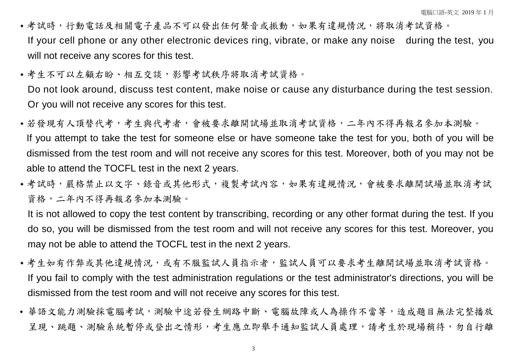- •考試時,行動電話及相關電子產品不可以發出任何聲音或振動,如果有違規情況,將取消考試資格。 If your cell phone or any other electronic devices ring, vibrate, or make any noise during the test, you will not receive any scores for this test.
- 考生不可以左顧右盼、相互交談,影響考試秩序將取消考試資格。

Do not look around, discuss test content, make noise or cause any disturbance during the test session. Or you will not receive any scores for this test.

- •若發現有人頂替代考,考生與代考者,會被要求離開試場並取消考試資格,二年內不得再報名參加本測驗。 If you attempt to take the test for someone else or have someone take the test for you, both of you will be dismissed from the test room and will not receive any scores for this test. Moreover, both of you may not be able to attend the TOCFL test in the next 2 years.
- 考試時,嚴格禁止以文字、錄音或其他形式,複製考試內容,如果有違規情況,會被要求離開試場並取消考試 資格,二年內不得再報名參加本測驗。

It is not allowed to copy the test content by transcribing, recording or any other format during the test. If you do so, you will be dismissed from the test room and will not receive any scores for this test. Moreover, you may not be able to attend the TOCFL test in the next 2 years.

- 考生如有作弊或其他違規情況,或有不服監試人員指示者,監試人員可以要求考生離開試場並取消考試資格。 If you fail to comply with the test administration regulations or the test administrator's directions, you will be dismissed from the test room and will not receive any scores for this test.
- 華語文能力測驗採電腦考試,測驗中途若發生網路中斷、電腦故障或人為操作不當等,造成題目無法完整播放 呈現、跳題、測驗系統暫停或登出之情形,考生應立即舉手通知監試人員處理,請考生於現場稍待,勿自行離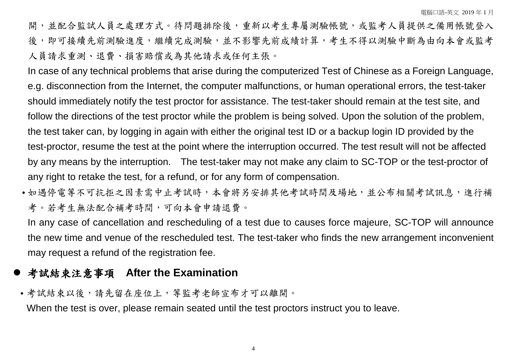開,並配合監試人員之處理方式。待問題排除後,重新以考生專屬測驗帳號,或監考人員提供之備用帳號登入 後,即可接續先前測驗進度,繼續完成測驗,並不影響先前成績計算,考生不得以測驗中斷為由向本會或監考 人員請求重測、退費、損害賠償或為其他請求或任何主張。

In case of any technical problems that arise during the computerized Test of Chinese as a Foreign Language, e.g. disconnection from the Internet, the computer malfunctions, or human operational errors, the test-taker should immediately notify the test proctor for assistance. The test-taker should remain at the test site, and follow the directions of the test proctor while the problem is being solved. Upon the solution of the problem, the test taker can, by logging in again with either the original test ID or a backup login ID provided by the test-proctor, resume the test at the point where the interruption occurred. The test result will not be affected by any means by the interruption. The test-taker may not make any claim to SC-TOP or the test-proctor of any right to retake the test, for a refund, or for any form of compensation.

• 如遇停電等不可抗拒之因素需中止考試時,本會將另安排其他考試時間及場地,並公布相關考試訊息,進行補 考。若考生無法配合補考時間,可向本會申請退費。

In any case of cancellation and rescheduling of a test due to causes force majeure, SC-TOP will announce the new time and venue of the rescheduled test. The test-taker who finds the new arrangement inconvenient may request a refund of the registration fee.

## 考試結束注意事項 **After the Examination**

考試結束以後,請先留在座位上,等監考老師宣布才可以離開。

When the test is over, please remain seated until the test proctors instruct you to leave.